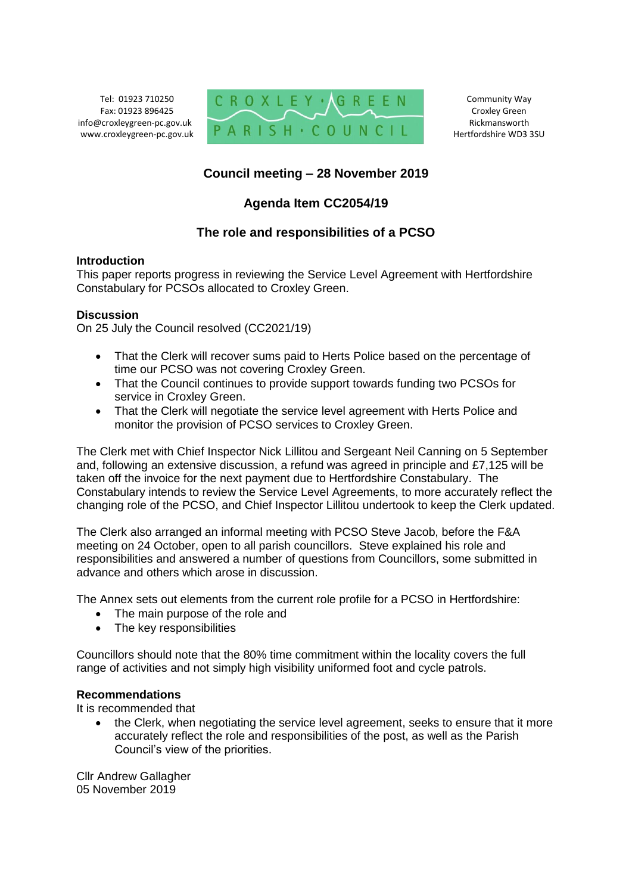Tel: 01923 710250 Fax: 01923 896425 info@croxleygreen-pc.gov.uk www.croxleygreen-pc.gov.uk



Community Way Croxley Green Rickmansworth Hertfordshire WD3 3SU

# **Council meeting – 28 November 2019**

# **Agenda Item CC2054/19**

## **The role and responsibilities of a PCSO**

### **Introduction**

This paper reports progress in reviewing the Service Level Agreement with Hertfordshire Constabulary for PCSOs allocated to Croxley Green.

### **Discussion**

On 25 July the Council resolved (CC2021/19)

- That the Clerk will recover sums paid to Herts Police based on the percentage of time our PCSO was not covering Croxley Green.
- That the Council continues to provide support towards funding two PCSOs for service in Croxley Green.
- That the Clerk will negotiate the service level agreement with Herts Police and monitor the provision of PCSO services to Croxley Green.

The Clerk met with Chief Inspector Nick Lillitou and Sergeant Neil Canning on 5 September and, following an extensive discussion, a refund was agreed in principle and £7,125 will be taken off the invoice for the next payment due to Hertfordshire Constabulary. The Constabulary intends to review the Service Level Agreements, to more accurately reflect the changing role of the PCSO, and Chief Inspector Lillitou undertook to keep the Clerk updated.

The Clerk also arranged an informal meeting with PCSO Steve Jacob, before the F&A meeting on 24 October, open to all parish councillors. Steve explained his role and responsibilities and answered a number of questions from Councillors, some submitted in advance and others which arose in discussion.

The Annex sets out elements from the current role profile for a PCSO in Hertfordshire:

- The main purpose of the role and
- The key responsibilities

Councillors should note that the 80% time commitment within the locality covers the full range of activities and not simply high visibility uniformed foot and cycle patrols.

#### **Recommendations**

It is recommended that

• the Clerk, when negotiating the service level agreement, seeks to ensure that it more accurately reflect the role and responsibilities of the post, as well as the Parish Council's view of the priorities.

Cllr Andrew Gallagher 05 November 2019